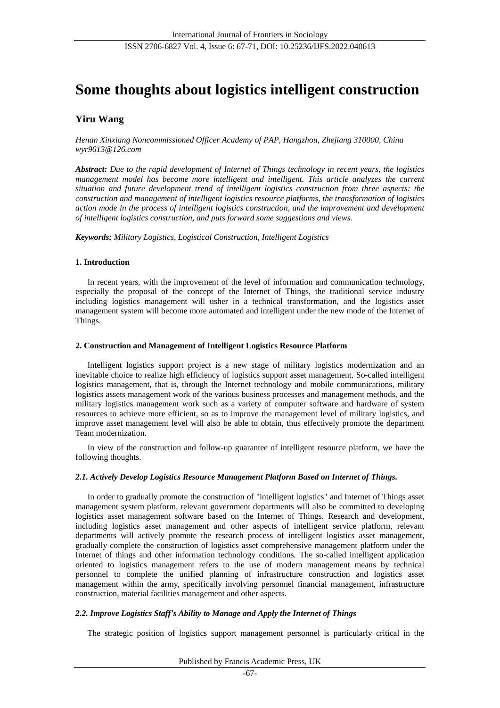# **Some thoughts about logistics intelligent construction**

# **Yiru Wang**

*Henan Xinxiang Noncommissioned Officer Academy of PAP, Hangzhou, Zhejiang 310000, China wyr9613@126.com*

*Abstract: Due to the rapid development of Internet of Things technology in recent years, the logistics management model has become more intelligent and intelligent. This article analyzes the current situation and future development trend of intelligent logistics construction from three aspects: the construction and management of intelligent logistics resource platforms, the transformation of logistics action mode in the process of intelligent logistics construction, and the improvement and development of intelligent logistics construction, and puts forward some suggestions and views.*

*Keywords: Military Logistics, Logistical Construction, Intelligent Logistics*

# **1. Introduction**

In recent years, with the improvement of the level of information and communication technology, especially the proposal of the concept of the Internet of Things, the traditional service industry including logistics management will usher in a technical transformation, and the logistics asset management system will become more automated and intelligent under the new mode of the Internet of Things.

# **2. Construction and Management of Intelligent Logistics Resource Platform**

Intelligent logistics support project is a new stage of military logistics modernization and an inevitable choice to realize high efficiency of logistics support asset management. So-called intelligent logistics management, that is, through the Internet technology and mobile communications, military logistics assets management work of the various business processes and management methods, and the military logistics management work such as a variety of computer software and hardware of system resources to achieve more efficient, so as to improve the management level of military logistics, and improve asset management level will also be able to obtain, thus effectively promote the department Team modernization.

In view of the construction and follow-up guarantee of intelligent resource platform, we have the following thoughts.

# *2.1. Actively Develop Logistics Resource Management Platform Based on Internet of Things.*

In order to gradually promote the construction of "intelligent logistics" and Internet of Things asset management system platform, relevant government departments will also be committed to developing logistics asset management software based on the Internet of Things. Research and development, including logistics asset management and other aspects of intelligent service platform, relevant departments will actively promote the research process of intelligent logistics asset management, gradually complete the construction of logistics asset comprehensive management platform under the Internet of things and other information technology conditions. The so-called intelligent application oriented to logistics management refers to the use of modern management means by technical personnel to complete the unified planning of infrastructure construction and logistics asset management within the army, specifically involving personnel financial management, infrastructure construction, material facilities management and other aspects.

# *2.2. Improve Logistics Staff's Ability to Manage and Apply the Internet of Things*

The strategic position of logistics support management personnel is particularly critical in the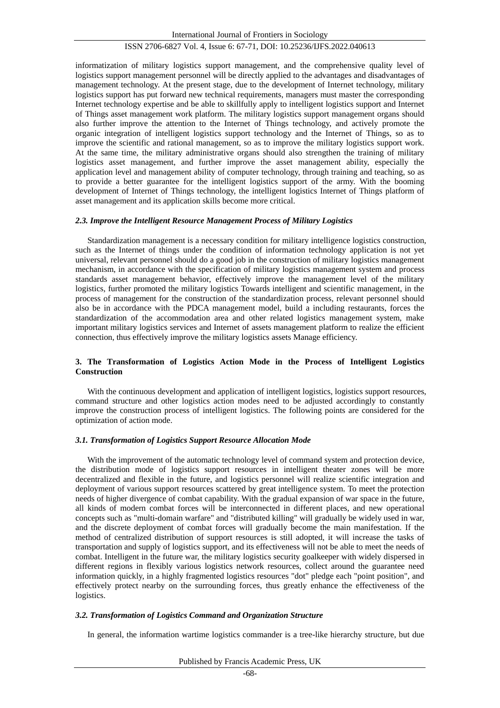# ISSN 2706-6827 Vol. 4, Issue 6: 67-71, DOI: 10.25236/IJFS.2022.040613

informatization of military logistics support management, and the comprehensive quality level of logistics support management personnel will be directly applied to the advantages and disadvantages of management technology. At the present stage, due to the development of Internet technology, military logistics support has put forward new technical requirements, managers must master the corresponding Internet technology expertise and be able to skillfully apply to intelligent logistics support and Internet of Things asset management work platform. The military logistics support management organs should also further improve the attention to the Internet of Things technology, and actively promote the organic integration of intelligent logistics support technology and the Internet of Things, so as to improve the scientific and rational management, so as to improve the military logistics support work. At the same time, the military administrative organs should also strengthen the training of military logistics asset management, and further improve the asset management ability, especially the application level and management ability of computer technology, through training and teaching, so as to provide a better guarantee for the intelligent logistics support of the army. With the booming development of Internet of Things technology, the intelligent logistics Internet of Things platform of asset management and its application skills become more critical.

#### *2.3. Improve the Intelligent Resource Management Process of Military Logistics*

Standardization management is a necessary condition for military intelligence logistics construction, such as the Internet of things under the condition of information technology application is not yet universal, relevant personnel should do a good job in the construction of military logistics management mechanism, in accordance with the specification of military logistics management system and process standards asset management behavior, effectively improve the management level of the military logistics, further promoted the military logistics Towards intelligent and scientific management, in the process of management for the construction of the standardization process, relevant personnel should also be in accordance with the PDCA management model, build a including restaurants, forces the standardization of the accommodation area and other related logistics management system, make important military logistics services and Internet of assets management platform to realize the efficient connection, thus effectively improve the military logistics assets Manage efficiency.

#### **3. The Transformation of Logistics Action Mode in the Process of Intelligent Logistics Construction**

With the continuous development and application of intelligent logistics, logistics support resources, command structure and other logistics action modes need to be adjusted accordingly to constantly improve the construction process of intelligent logistics. The following points are considered for the optimization of action mode.

#### *3.1. Transformation of Logistics Support Resource Allocation Mode*

With the improvement of the automatic technology level of command system and protection device, the distribution mode of logistics support resources in intelligent theater zones will be more decentralized and flexible in the future, and logistics personnel will realize scientific integration and deployment of various support resources scattered by great intelligence system. To meet the protection needs of higher divergence of combat capability. With the gradual expansion of war space in the future, all kinds of modern combat forces will be interconnected in different places, and new operational concepts such as "multi-domain warfare" and "distributed killing" will gradually be widely used in war, and the discrete deployment of combat forces will gradually become the main manifestation. If the method of centralized distribution of support resources is still adopted, it will increase the tasks of transportation and supply of logistics support, and its effectiveness will not be able to meet the needs of combat. Intelligent in the future war, the military logistics security goalkeeper with widely dispersed in different regions in flexibly various logistics network resources, collect around the guarantee need information quickly, in a highly fragmented logistics resources "dot" pledge each "point position", and effectively protect nearby on the surrounding forces, thus greatly enhance the effectiveness of the logistics.

#### *3.2. Transformation of Logistics Command and Organization Structure*

In general, the information wartime logistics commander is a tree-like hierarchy structure, but due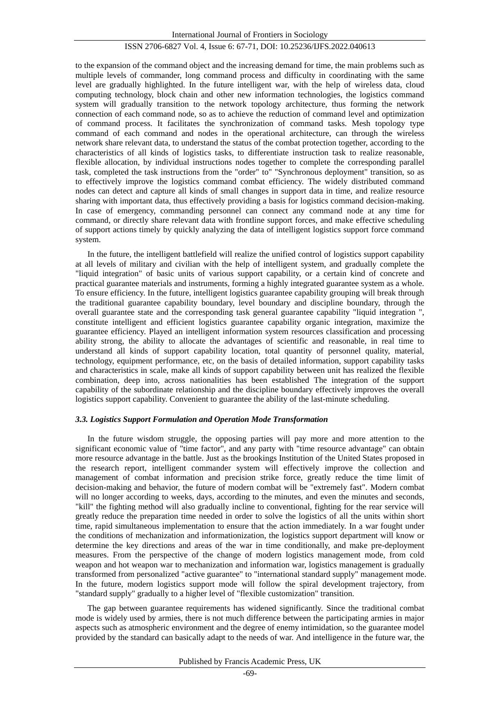# ISSN 2706-6827 Vol. 4, Issue 6: 67-71, DOI: 10.25236/IJFS.2022.040613

to the expansion of the command object and the increasing demand for time, the main problems such as multiple levels of commander, long command process and difficulty in coordinating with the same level are gradually highlighted. In the future intelligent war, with the help of wireless data, cloud computing technology, block chain and other new information technologies, the logistics command system will gradually transition to the network topology architecture, thus forming the network connection of each command node, so as to achieve the reduction of command level and optimization of command process. It facilitates the synchronization of command tasks. Mesh topology type command of each command and nodes in the operational architecture, can through the wireless network share relevant data, to understand the status of the combat protection together, according to the characteristics of all kinds of logistics tasks, to differentiate instruction task to realize reasonable, flexible allocation, by individual instructions nodes together to complete the corresponding parallel task, completed the task instructions from the "order" to" "Synchronous deployment" transition, so as to effectively improve the logistics command combat efficiency. The widely distributed command nodes can detect and capture all kinds of small changes in support data in time, and realize resource sharing with important data, thus effectively providing a basis for logistics command decision-making. In case of emergency, commanding personnel can connect any command node at any time for command, or directly share relevant data with frontline support forces, and make effective scheduling of support actions timely by quickly analyzing the data of intelligent logistics support force command system.

In the future, the intelligent battlefield will realize the unified control of logistics support capability at all levels of military and civilian with the help of intelligent system, and gradually complete the "liquid integration" of basic units of various support capability, or a certain kind of concrete and practical guarantee materials and instruments, forming a highly integrated guarantee system as a whole. To ensure efficiency. In the future, intelligent logistics guarantee capability grouping will break through the traditional guarantee capability boundary, level boundary and discipline boundary, through the overall guarantee state and the corresponding task general guarantee capability "liquid integration ", constitute intelligent and efficient logistics guarantee capability organic integration, maximize the guarantee efficiency. Played an intelligent information system resources classification and processing ability strong, the ability to allocate the advantages of scientific and reasonable, in real time to understand all kinds of support capability location, total quantity of personnel quality, material, technology, equipment performance, etc, on the basis of detailed information, support capability tasks and characteristics in scale, make all kinds of support capability between unit has realized the flexible combination, deep into, across nationalities has been established The integration of the support capability of the subordinate relationship and the discipline boundary effectively improves the overall logistics support capability. Convenient to guarantee the ability of the last-minute scheduling.

#### *3.3. Logistics Support Formulation and Operation Mode Transformation*

In the future wisdom struggle, the opposing parties will pay more and more attention to the significant economic value of "time factor", and any party with "time resource advantage" can obtain more resource advantage in the battle. Just as the brookings Institution of the United States proposed in the research report, intelligent commander system will effectively improve the collection and management of combat information and precision strike force, greatly reduce the time limit of decision-making and behavior, the future of modern combat will be "extremely fast". Modern combat will no longer according to weeks, days, according to the minutes, and even the minutes and seconds, "kill" the fighting method will also gradually incline to conventional, fighting for the rear service will greatly reduce the preparation time needed in order to solve the logistics of all the units within short time, rapid simultaneous implementation to ensure that the action immediately. In a war fought under the conditions of mechanization and informationization, the logistics support department will know or determine the key directions and areas of the war in time conditionally, and make pre-deployment measures. From the perspective of the change of modern logistics management mode, from cold weapon and hot weapon war to mechanization and information war, logistics management is gradually transformed from personalized "active guarantee" to "international standard supply" management mode. In the future, modern logistics support mode will follow the spiral development trajectory, from "standard supply" gradually to a higher level of "flexible customization" transition.

The gap between guarantee requirements has widened significantly. Since the traditional combat mode is widely used by armies, there is not much difference between the participating armies in major aspects such as atmospheric environment and the degree of enemy intimidation, so the guarantee model provided by the standard can basically adapt to the needs of war. And intelligence in the future war, the

Published by Francis Academic Press, UK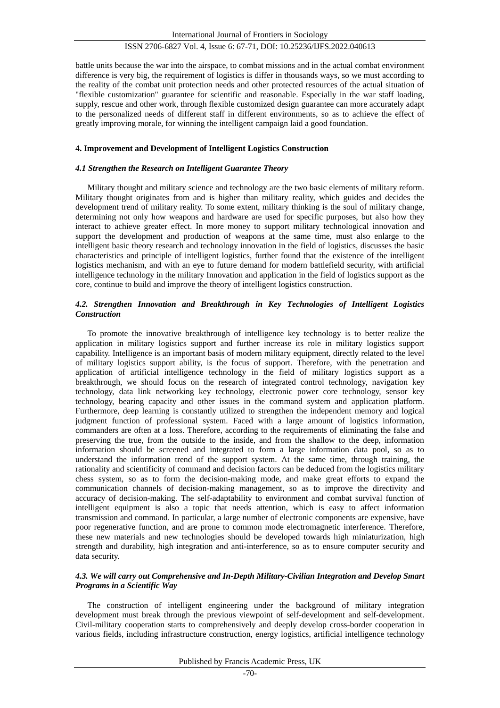# ISSN 2706-6827 Vol. 4, Issue 6: 67-71, DOI: 10.25236/IJFS.2022.040613

battle units because the war into the airspace, to combat missions and in the actual combat environment difference is very big, the requirement of logistics is differ in thousands ways, so we must according to the reality of the combat unit protection needs and other protected resources of the actual situation of "flexible customization" guarantee for scientific and reasonable. Especially in the war staff loading, supply, rescue and other work, through flexible customized design guarantee can more accurately adapt to the personalized needs of different staff in different environments, so as to achieve the effect of greatly improving morale, for winning the intelligent campaign laid a good foundation.

#### **4. Improvement and Development of Intelligent Logistics Construction**

#### *4.1 Strengthen the Research on Intelligent Guarantee Theory*

Military thought and military science and technology are the two basic elements of military reform. Military thought originates from and is higher than military reality, which guides and decides the development trend of military reality. To some extent, military thinking is the soul of military change, determining not only how weapons and hardware are used for specific purposes, but also how they interact to achieve greater effect. In more money to support military technological innovation and support the development and production of weapons at the same time, must also enlarge to the intelligent basic theory research and technology innovation in the field of logistics, discusses the basic characteristics and principle of intelligent logistics, further found that the existence of the intelligent logistics mechanism, and with an eye to future demand for modern battlefield security, with artificial intelligence technology in the military Innovation and application in the field of logistics support as the core, continue to build and improve the theory of intelligent logistics construction.

# *4.2. Strengthen Innovation and Breakthrough in Key Technologies of Intelligent Logistics Construction*

To promote the innovative breakthrough of intelligence key technology is to better realize the application in military logistics support and further increase its role in military logistics support capability. Intelligence is an important basis of modern military equipment, directly related to the level of military logistics support ability, is the focus of support. Therefore, with the penetration and application of artificial intelligence technology in the field of military logistics support as a breakthrough, we should focus on the research of integrated control technology, navigation key technology, data link networking key technology, electronic power core technology, sensor key technology, bearing capacity and other issues in the command system and application platform. Furthermore, deep learning is constantly utilized to strengthen the independent memory and logical judgment function of professional system. Faced with a large amount of logistics information, commanders are often at a loss. Therefore, according to the requirements of eliminating the false and preserving the true, from the outside to the inside, and from the shallow to the deep, information information should be screened and integrated to form a large information data pool, so as to understand the information trend of the support system. At the same time, through training, the rationality and scientificity of command and decision factors can be deduced from the logistics military chess system, so as to form the decision-making mode, and make great efforts to expand the communication channels of decision-making management, so as to improve the directivity and accuracy of decision-making. The self-adaptability to environment and combat survival function of intelligent equipment is also a topic that needs attention, which is easy to affect information transmission and command. In particular, a large number of electronic components are expensive, have poor regenerative function, and are prone to common mode electromagnetic interference. Therefore, these new materials and new technologies should be developed towards high miniaturization, high strength and durability, high integration and anti-interference, so as to ensure computer security and data security.

# *4.3. We will carry out Comprehensive and In-Depth Military-Civilian Integration and Develop Smart Programs in a Scientific Way*

The construction of intelligent engineering under the background of military integration development must break through the previous viewpoint of self-development and self-development. Civil-military cooperation starts to comprehensively and deeply develop cross-border cooperation in various fields, including infrastructure construction, energy logistics, artificial intelligence technology

Published by Francis Academic Press, UK